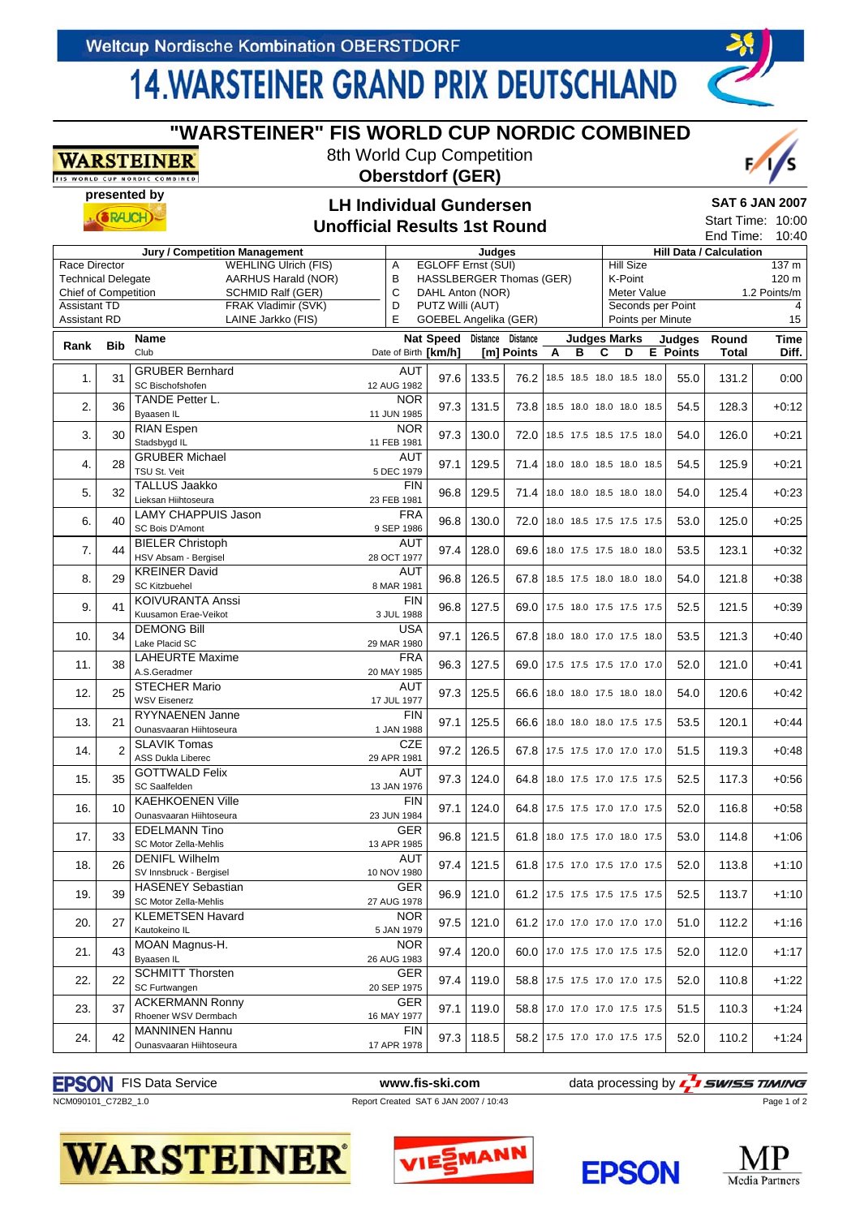WARSTEINER IS WORLD CUP NORDIC COMBINED

## **14 WARSTEINER GRAND PRIX DEUTSCHLAND**

**"WARSTEINER" FIS WORLD CUP NORDIC COMBINED** 8th World Cup Competition **Oberstdorf (GER)**

#### **presented by SAT 6 JAN 2007 LH Individual Gundersen**  $(SRAICH)$ **Unofficial Results 1st Round Jury / Competition Management Judges** Hill Data / Calculation<br>WEHEING Litrich (FIS) A EGLOFF Frnst (SLII) Hill Size Race Director WEHLING Ulrich (FIS) A EGLOFF Ernst (SUI)  $\frac{137 \text{ m}}{250 \text{ m}}$ Technical Delegate AARHUS Harald (NOR) B HASSLBERGER Thomas (GER) K-Point 120 m Chief of Competition SCHMID Ralf (GER) C DAHL Anton (NOR) Meter Value 1.2 Points/m D PUTZ Willi (AUT) **Assistant TD** FRAK Vladimir (SVK) Seconds per Point 4 Assistant RD LAINE Jarkko (FIS) E GOEBEL Angelika (GER) Points per Minute 15 **Judges Marks Rank Bib Name Nat Speed Distance Distance Judges Round Time** Club **ABCDE E** Points **Total Diff.** Date of Birth **[km/h] [m] Points** 1. 31 GRUBER Bernhard AUT<br>
SC Bischofshofen 12 AUG 1982 SC Bischofshofen 12 AUG 1982 97.6 133.5 76.2 18.5 18.5 18.0 18.5 18.0 55.0 131.2 0:00 2.  $36 \overline{\smash{\big)}\begin{array}{l}\n\text{TANDE Petter L.}\n\text{1.} \\
\text{Bwasen IL}\n\end{array}\n\quad \text{1.} \quad \text{1.} \quad \text{1.} \quad \text{1.} \quad \text{1.} \quad \text{1.} \quad \text{1.} \quad \text{1.} \quad \text{1.} \quad \text{1.} \quad \text{1.} \quad \text{1.} \quad \text{1.} \quad \text{1.} \quad \text{1.} \quad \text{1.} \quad \text{1.} \quad \text{1.} \quad \text{1.} \quad \text{1.} \quad \text$ Byaasen IL 128.3 | 11 JUN 1985 97.3 | 131.5 | 73.8 | 18.5 18.0 18.0 18.0 18.5 | 54.5 | 128.3 | +0:12 3. 30 RIAN Espen NOR<br>
Stadsbygd IL
11 FEB 1981 Stadsbygd IL 126.0 | 11 FEB 1981 97.3 | 130.0 | 72.0 | 18.5 17.5 18.5 17.5 18.0 | 54.0 | 126.0 | +0:21 4. 28 GRUBER Michael AUT<br>
TSU St. Veit 5 DEC 1979 TSU St. Veit 6. 125.9 | 129.5 | 129.5 | 129.5 | 13.0 13.0 13.5 13.0 13.5 | 54.5 | 125.9 | 125.9 | 127.21 5. 32 TALLUS Jaakko FIN<br>23 FEB 1981 Lieksan Hiihtoseura 23 FEB 1981 Lieksan Hiihtoseura 23 FEB 1981 96.8 129.5 71.4 18.0 18.0 18.5 18.0 18.0 54.0 125.4 +0:23 6. 40 LAMY CHAPPUIS Jason FRA<br>
SC Bois D'Amont 9 SEP 1986 SC Bois D'Amont 910 Season<br>SC Bois D'Amont 9 SEP 1986 9 SEP 1986 96.8 130.0 72.0 18.0 18.5 17.5 17.5 17.5 53.0 125.0 +0:25 7. 44 BIELER Christoph AUT HSTELEN CHINOPHI<br>HSV Absam - Bergisel 28 OCT 1977 97.4 128.0 69.6 18.0 17.5 17.5 18.0 18.0 53.5 123.1 +0:32 8. 29 KREINER David AUT SC Kitzbuehel 8MAR 1981 8MAR 1981 96.8 126.5 67.8 18.5 17.5 18.0 18.0 18.0 54.0 121.8 +0:38 9. 41 KOIVURANTA Anssi FIN<br>
Kuusamon Frae-Veikot 3 III 1988 96.8 127.5 69.0 17.5 18.0 17.5 17.5 17.5 52.5 121.5 +0:39 10. 34 DEMONG Bill USA<br>
Lake Placid SC 29 MAR 1980  $97.1 | 126.5 | 67.8 | 18.0 18.0 17.0 17.5 18.0 | 53.5 | 121.3 | +0.40$ 11. 38 LAHEURTE Maxime FRA<br>
11. 38 A S Geradmer<br>
20 MAY 1985 A.S.Geradmer 20 MAY 1985 96.3 127.5 69.0 17.5 17.5 17.5 17.0 17.0 52.0 121.0 +0:41 12. 25 STECHER Mario AUT<br>WSV Eisenerz 17 JUL 1977 WSV Eisenerz 17 JUL 1977 97.3 125.5 66.6 18.0 18.0 17.5 18.0 18.0 54.0 120.6 +0:42 13. 21 RYYNAENEN Janne FIN<br>
1.JAN 1988 RYYINAENEN JANNE<br>Ounasvaaran Hiihtoseura 1 JAN 1988 97.1 125.5 66.6 18.0 18.0 18.0 17.5 17.5 53.5 120.1 +0:44 14. 2 SLAVIK Tomas CZE<br>
14. 2 ASS Dukla Liberec 29 APR 1981 ASS Dukla Liberec 29 APR 1981 29 APR 1981 97.2 126.5 67.8 17.5 17.5 17.0 17.0 17.0 51.5 119.3 +0:48 15. 35 GOTTWALD Felix AUT SC 1 TWALD 1 CITA<br>SC Saalfelden 13 JAN 1976 97.3 124.0 64.8 18.0 17.5 17.0 17.5 17.5 52.5 17.3 +0:56 16. 10 KAEHKOENEN Ville FIN<br>
Dunasvaaran Hiihtoseura 23 JUN 1984 Ounasvaaran Hiihtoseura 23 JUN 1984 97.1 | 124.0 | 64.8 | 17.5 17.5 17.0 17.0 17.5 | 52.0 | 116.8 | +0:58 +0:58<br>Ounasvaaran Hiihtoseura 17. 33 EDELMANN Tino GER<br>SC Motor Zella-Mehlis 13 APR 1985 SC Motor Zella-Mehlis 1110<br>SC Motor Zella-Mehlis 13 APR 1985 96.8 121.5 61.8 18.0 17.5 17.0 18.0 17.5 53.0 114.8 +1:06 18. 26 DENIFL Wilhelm AUT SV Innsbruck - Bergisel 113.8 | 10 NOV 1980 97.4 | 121.5 | 61.8 | 17.5 17.0 17.5 17.0 17.5 | 52.0 | 113.8 | +1:10 19. 39 HASENEY Sebastian GER<br>
19. 39 SC Motor Zella-Mehlis SC Motor Zella-Mehlis 27 AUG 1978 96.9 121.0 61.2 17.5 17.5 17.5 17.5 17.5 52.5 113.7 +1:10 20. 27 KLEMETSEN Havard NOR<br>
20. 27 Kautokeino IL 5 JAN 1979 Kautokeino IL 112.2 +1:16 21. 43 MOAN Magnus-H. NOR<br>
Byaasen II. 26 AUG 1983 Byaasen IL 26 AUG 1983 97.4 | 120.0 | 17.0 17.5 17.0 17.5 17.5 | 52.0 | 112.0 | +1:17 22. 22 SCHMITT Thorsten GER<br>
22. 22 SC Furtwangen 20 SEP 1975 SC Furtwangen 20 SEP 1975 97.4 119.0 58.8 17.5 17.5 17.0 17.0 17.5 52.0 110.8 +1:22 23. 37 ACKERMANN Ronny GER<br>
Rhoener WSV Dermbach 16 MAY 1977 Rhoener WSV Dermbach 16 MAY 1977 97.1 119.0 58.8 17.0 17.0 17.0 17.5 17.5 51.5 110.3 +1:24 24. 42 MANNINEN Hannu FIN<br>
Ounasyaaran Hiihtoseura 17 APR 1978  $97.3 \mid 118.5 \mid 58.2 \mid 17.5 \mid 17.0 \mid 17.5 \mid 17.5 \mid 52.0 \mid 110.2 \mid +1.24$

#### **EPSON** FIS Data Service **WALL ASSESS** www.fis-ski.com data processing by **Fig. 3 SWISS TIMING**

### NCM090101\_C72B2\_1.0 Report Created SAT 6 JAN 2007 / 10:43





Page 1 of 2











Start Time: 10:00 End Time: 10:40